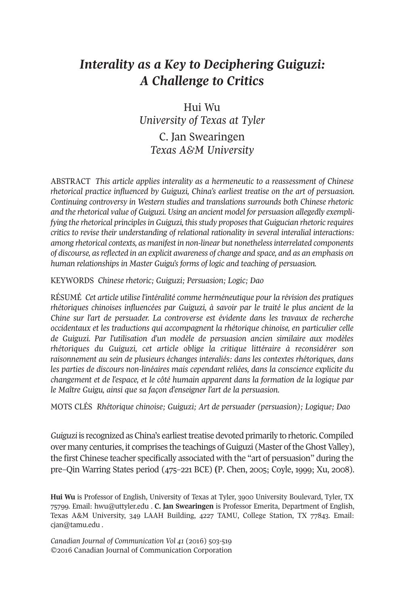## *Interality as a Key to Deciphering Guiguzi: A Challenge to Critics*

Hui Wu *University of Texas at Tyler* C. Jan Swearingen

*Texas A&M University*

AbStrACt *This article applies interality as a hermeneutic to a reassessment of Chinese rhetorical practice influenced by Guiguzi, China's earliest treatise on the art of persuasion. Continuing controversy in Western studies and translations surrounds both Chinese rhetoric and the rhetorical value of Guiguzi. Using an ancient model for persuasion allegedly exemplifying the rhetorical principlesin Guiguzi, thisstudy proposesthat Guigucian rhetoric requires critics to revise their understanding of relational rationality in several interalial interactions: among rhetorical contexts, as manifest in non-linear but nonethelessinterrelated components of discourse, asreflected in an explicit awareness of change and space, and as an emphasis on human relationships in Master Guigu's forms of logic and teaching of persuasion.*

KeyWordS *Chinese rhetoric; Guiguzi; Persuasion; Logic; Dao*

rÉSUMÉ *Cet article utilise l'intéralité comme herméneutique pour la révision des pratiques rhétoriques chinoises influencées par Guiguzi, à savoir par le traité le plus ancient de la Chine sur l'art de persuader. La controverse est évidente dans les travaux de recherche occidentaux et les traductions qui accompagnent la rhétorique chinoise, en particulier celle de Guiguzi. Par l'utilisation d'un modèle de persuasion ancien similaire aux modèles rhétoriques du Guiguzi, cet article oblige la critique littéraire à reconsidérer son raisonnement au sein de plusieurs échanges interaliés: dans les contextes rhétoriques, dans les parties de discours non-linéaires mais cependant reliées, dans la conscience explicite du changement et de l'espace, et le côté humain apparent dans la formation de la logique par le Maître Guigu, ainsi que sa façon d'enseigner l'art de la persuasion.*

MotS ClÉS *Rhétorique chinoise; Guiguzi; Art de persuader (persuasion); Logique; Dao*

Guiguzi is recognized as China's earliest treatise devoted primarily to rhetoric. Compiled over many centuries, it comprises the teachings of Guiguzi (Master of the Ghost Valley), the first Chinese teacher specifically associated with the "art of persuasion" during the pre–Qin Warring States period (475–221 bCe) **(**P. Chen, 2005; Coyle, 1999; Xu, 2008).

Hui Wu is Professor of English, University of Texas at Tyler, 3900 University Boulevard, Tyler, TX 75799. email: [hwu@uttyler.edu](mailto:hwu@uttyler.edu) . **C. Jan Swearingen** is Professor emerita, department of english, Texas A&M University, 349 LAAH Building, 4227 TAMU, College Station, TX 77843. Email: [cjan@tamu.edu](mailto:cjan@tamu.edu) .

*Canadian Journal of [Communication](http://www.cjc-online.ca) Vol 41* (2016) 503-519 ©2016 Canadian Journal of Communication Corporation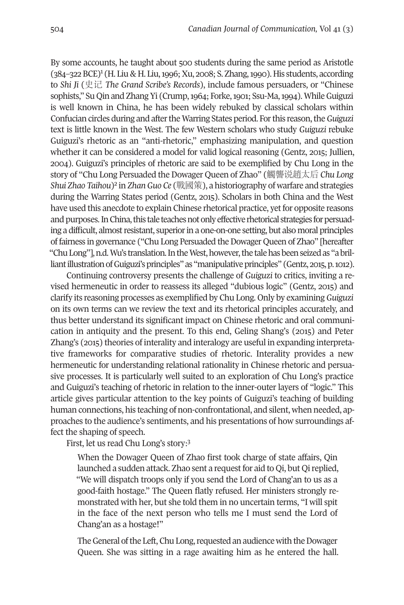by some acc[ou](#page-14-2)nts, he taught about 500 students during the same period as Aristotle  $(384-322$  BCE)<sup>1</sup> (H. Liu & H. Liu, 1996; Xu, 2008; S. Zhang, 1990). His students, according to *Shi Ji* (史记 *The Grand Scribe's Records*), include famous persuaders, or "Chinese sophists," Su Qin and Zhang Yi (Crump, 1964; Forke, 1901; Ssu-Ma, 1994). While Guiguzi is well known in China, he has been widely rebuked by classical scholars within Confucian circles during and aftertheWarring States period. Forthis reason,the*Guiguzi* text is little known in the West. the few Western scholars who study *Guiguzi* rebuke Guiguzi's rhetoric as an "anti-rhetoric," emphasizing manipulation, and question whether it can be considered a model for valid logical reasoning (Gentz, 2015; Jullien, 2004). Guiguzi's principles of rhetoric are said to be exemplified by Chu long in the story of "Chu lo[ng](#page-14-1) Persuaded the dowager Queen of Zhao" (觸讋说趙太后 *Chu Long Shui Zhao Taihou*)2 in *ZhanGuo Ce* (戰國策), a historiography of warfare and strategies during the Warring States period (Gentz, 2015). Scholars in both China and the West have used this anecdote to explain Chinese rhetorical practice, yet for opposite reasons and purposes. In China, this tale teaches not only effective rhetorical strategies for persuading a difficult, almost resistant, superior in a one-on-one setting, but also moral principles of fairness in governance ("Chu Long Persuaded the Dowager Queen of Zhao" [hereafter "Chu Long"], n.d. Wu's translation. In the West, however, the tale has been seized as "a brilliant illustration of Guiguzi's principles" as "manipulative principles" (Gentz, 2015, p. 1012).

Continuing controversy presents the challenge of *Guiguzi* to critics, inviting a revised hermeneutic in order to reassess its alleged "dubious logic" (Gentz, 2015) and clarify its reasoning processes as exemplified by Chu long. only by examining*Guiguzi* on its own terms can we review the text and its rhetorical principles accurately, and thus better understand its significant impact on Chinese rhetoric and oral communication in antiquity and the present. to this end, Geling Shang's (2015) and Peter Zhang's (2015) theories of interality and interalogy are useful in expanding interpretative frameworks for comparative studies of rhetoric. Interality provides a new hermeneutic for understanding relational rationality in Chinese rhetoric and persuasive processes. It is particularly well suited to an exploration of Chu long's practice and Guiguzi's teaching of rhetoric in relation to the inner-outer layers of "logic." This article gives particular attention to the key points of Guiguzi's teaching of building human connections, his teaching of non-confrontational, and silent, when needed, approaches to the audience's sentiments, and his presentations of how surroundings affect the shaping of speech.

First, let us read Chu Long's story:<sup>[3](#page-14-0)</sup>

When the Dowager Queen of Zhao first took charge of state affairs, Qin launched a sudden attack. Zhao sent a request for aid to Qi, but Qi replied, "We will dispatch troops only if you send the lord of Chang'an to us as a good-faith hostage." The Queen flatly refused. Her ministers strongly remonstrated with her, but she told them in no uncertain terms, "I will spit in the face of the next person who tells me I must send the lord of Chang'an as a hostage!"

The General of the Left, Chu Long, requested an audience with the Dowager Queen. She was sitting in a rage awaiting him as he entered the hall.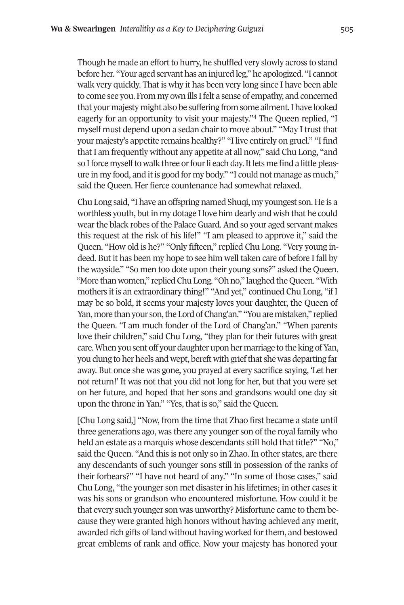Though he made an effort to hurry, he shuffled very slowly across to stand before her. "your aged servant has an injured leg," he apologized. "I cannot walk very quickly. That is why it has been very long since I have been able to come see you. From my own ills Ifelt a sense of empathy, and concerned that your majesty might also be suffering from so[me](#page-14-3) ailment.I have looked eagerly for an opportunity to visit your majesty."4 The Queen replied, "I myself must depend upon a sedan chair to move about." "May I trust that your majesty's appetite remains healthy?" "I live entirely on gruel." "I find that I am frequently without any appetite at all now," said Chu long, "and so I force myself to walk three or four li each day. It lets me find a little pleasure in my food, and it is good for my body." "I could not manage as much," said the Queen. Her fierce countenance had somewhat relaxed.

Chu long said, "I have an offspring named Shuqi, my youngest son. He is a worthless youth, but in my dotage I love him dearly and wish that he could wearthe black robes of the Palace Guard. And so your aged servant makes this request at the risk of his life!" "I am pleased to approve it," said the Queen. "How old is he?" "only fifteen," replied Chu long. "Very young indeed. but it has been my hope to see him well taken care of before I fall by the wayside." "So men too dote upon their young sons?" asked the Queen. "More than women," replied Chu Long. "Oh no," laughed the Queen. "With mothers it is an extraordinary thing!" "And yet," continued Chu long, "if I may be so bold, it seems your majesty loves your daughter, the Queen of Yan, more than your son, the Lord of Chang'an." "You are mistaken," replied the Queen. "I am much fonder of the lord of Chang'an." "When parents love their children," said Chu long, "they plan for their futures with great care. When you sent off your daughter upon her marriage to the king of Yan, you clung to her heels and wept, bereft with grief that she was departing far away. but once she was gone, you prayed at every sacrifice saying, 'let her not return!' It was not that you did not long for her, but that you were set on her future, and hoped that her sons and grandsons would one day sit upon the throne in yan." "yes, that is so," said the Queen.

[Chu long said,] "Now, from the time that Zhao first became a state until three generations ago, was there any younger son of the royal family who held an estate as a marquis whose descendants still hold that title?" "No," said the Queen. "And this is not only so in Zhao. In other states, are there any descendants of such younger sons still in possession of the ranks of their forbears?" "I have not heard of any." "In some of those cases," said Chu long, "the younger son met disasterin his lifetimes; in other cases it was his sons or grandson who encountered misfortune. How could it be that every such younger son was unworthy? Misfortune came to them because they were granted high honors without having achieved any merit, awarded rich gifts of land without having worked for them, and bestowed great emblems of rank and office. Now your majesty has honored your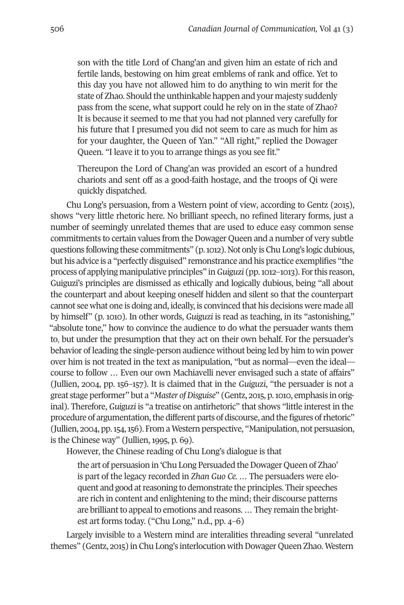son with the title lord of Chang'an and given him an estate of rich and fertile lands, bestowing on him great emblems of rank and office. yet to this day you have not allowed him to do anything to win merit for the state of Zhao. Should the unthinkable happen and your majesty suddenly pass from the scene, what support could he rely on in the state of Zhao? It is because it seemed to me that you had not planned very carefully for his future that I presumed you did not seem to care as much for him as for your daughter, the Queen of Yan." "All right," replied the Dowager Queen. "I leave it to you to arrange things as you see fit."

thereupon the lord of Chang'an was provided an escort of a hundred chariots and sent off as a good-faith hostage, and the troops of Qi were quickly dispatched.

Chu long's persuasion, from a Western point of view, according to Gentz (2015), shows "very little rhetoric here. No brilliant speech, no refined literary forms, just a number of seemingly unrelated themes that are used to educe easy common sense commitments to certain values from the Dowager Queen and a number of very subtle questions following these commitments" (p.1012). Not only isChu long's logic dubious, but his advice is a "perfectly disguised" remonstrance and his practice exemplifies "the process of applying manipulative principles" in*Guiguzi* (pp.1012–1013). Forthis reason, Guiguzi's principles are dismissed as ethically and logically dubious, being "all about the counterpart and about keeping oneself hidden and silent so that the counterpart cannot see what one is doing and, ideally, is convinced that his decisions were made all by himself" (p. 1010). In other words, *Guiguzi* is read as teaching, in its "astonishing," "absolute tone," how to convince the audience to do what the persuader wants them to, but under the presumption that they act on their own behalf. For the persuader's behavior of leading the single-person audience without being led by him to win power over him is not treated in the text as manipulation, "but as normal—even the ideal course to follow ... Even our own Machiavelli never envisaged such a state of affairs" (Jullien, 2004, pp. 156–157). It is claimed that in the *Guiguzi*, "the persuader is not a great stage performer" but a "*Master ofDisguise*" (Gentz, 2015, p.1010, emphasis in original). therefore, *Guiguzi* is "a treatise on antirhetoric" that shows "little interest in the procedure of argumentation, the different parts of discourse, and the figures of rhetoric" (Jullien, 2004, pp.154,156). From aWestern perspective, "Manipulation, not persuasion, is the Chinese way" (Jullien, 1995, p. 69).

However, the Chinese reading of Chu long's dialogue is that

the art of persuasion in 'Chu Long Persuaded the Dowager Queen of Zhao' is part of the legacy recorded in *Zhan Guo Ce. …* the persuaders were eloquent and good at reasoning to demonstrate the principles. Their speeches are rich in content and enlightening to the mind; their discourse patterns are brilliant to appeal to emotions and reasons. ... They remain the brightest art forms today. ("Chu long," n.d., pp. 4–6)

largely invisible to a Western mind are interalities threading several "unrelated themes" (Gentz, 2015) in Chu Long's interlocution with Dowager Queen Zhao. Western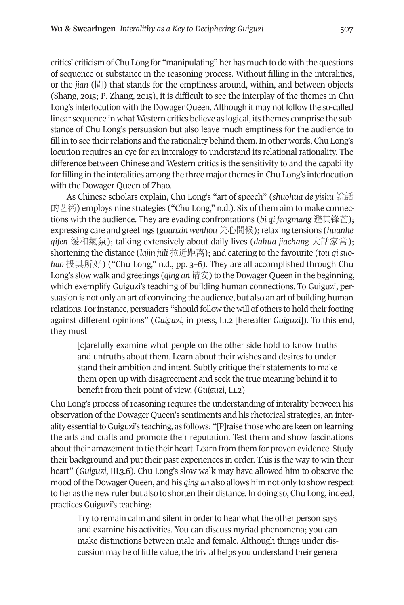critics' criticism of Chu long for "manipulating" her has much to do with the questions of sequence or substance in the reasoning process. Without filling in the interalities, or the *jian* (間) that stands for the emptiness around, within, and between objects (Shang, 2015; P. Zhang, 2015), it is difficult to see the interplay of the themes in Chu Long's interlocution with the Dowager Queen. Although it may not follow the so-called linear sequence in what Western critics believe as logical, its themes comprise the substance of Chu long's persuasion but also leave much emptiness for the audience to fill in to see their relations and the rationality behind them. In other words, Chu Long's locution requires an eye for an interalogy to understand its relational rationality. the difference between Chinese and Western critics is the sensitivity to and the capability for filling in the interalities among the three majorthemes in Chu long's interlocution with the Dowager Queen of Zhao.

As Chinese scholars explain, Chu long's "art of speech" (*shuohua de yishu* 說話 的艺術) employs nine strategies ("Chu Long," n.d.). Six of them aim to make connections with the audience. they are evading confrontations (*bi qi fengmang* 避其锋芒); expressing care and greetings (*guanxin wenhou*关心問候);relaxing tensions (*huanhe qifen* 缓和氣氛); talking extensively about daily lives (*dahua jiachang* 大話家常); shortening the distance (*lajin jüli* 拉近距离); and catering to the favourite (*tou qisuohao* 投其所好) ("Chu long," n.d., pp. 3–6). they are all accomplished through Chu Long's slow walk and greetings (*qing an* 请安) to the Dowager Queen in the beginning, which exemplify Guiguzi's teaching of building human connections. to Guiguzi, persuasion is not only an art of convincing the audience, but also an art of building human relations. For instance, persuaders "should follow the will of others to hold their footing against different opinions" (*Guiguzi*, in press, I.1.2 [hereafter *Guiguzi*]). to this end, they must

[c]arefully examine what people on the other side hold to know truths and untruths about them. learn about their wishes and desires to understand their ambition and intent. Subtly critique their statements to make them open up with disagreement and seek the true meaning behind it to benefit from their point of view. (*Guiguzi*, I.1.2)

Chu long's process of reasoning requires the understanding of interality between his observation of the Dowager Queen's sentiments and his rhetorical strategies, an interality essential to Guiguzi's teaching, as follows: "[P] raise those who are keen on learning the arts and crafts and promote their reputation. test them and show fascinations about their amazement to tie their heart. Learn from them for proven evidence. Study their background and put their past experiences in order. this is the way to win their heart" (*Guiguzi*, III.3.6). Chu long's slow walk may have allowed him to observe the mood of the Dowager Queen, and his *qing an* also allows him not only to show respect to her as the new ruler but also to shorten their distance.In doing so, Chu long, indeed, practices Guiguzi's teaching:

Try to remain calm and silent in order to hear what the other person says and examine his activities. you can discuss myriad phenomena; you can make distinctions between male and female. Although things under discussion may be of little value, the trivial helps you understand their genera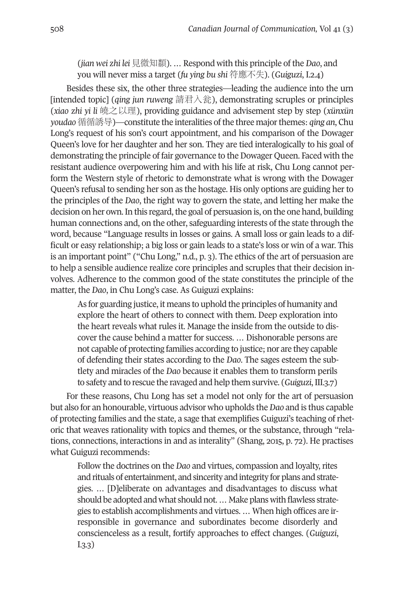(*jian wei zhi lei* 見微知纇). … respond with this principle of the *Dao*, and you will never miss a target (*fu ying bu shi* 符應不失). (*Guiguzi*, I.2.4)

besides these six, the other three strategies—leading the audience into the urn [intended topic] (*qing jun ruweng* 請君入瓮), demonstrating scruples or principles (*xiao zhi yi li* 皢之以理), providing guidance and advisement step by step (*xünxün youdao*循循誘导)—constitute the interalities ofthe three majorthemes: *qing an*, Chu Long's request of his son's court appointment, and his comparison of the Dowager Queen's love for her daughter and her son. they are tied interalogically to his goal of demonstrating the principle of fair governance to the Dowager Queen. Faced with the resistant audience overpowering him and with his life at risk, Chu long cannot perform the Western style of rhetoric to demonstrate what is wrong with the Dowager Queen's refusal to sending her son as the hostage. His only options are guiding her to the principles of the *Dao*, the right way to govern the state, and letting her make the decision on her own. In this regard, the goal of persuasion is, on the one hand, building human connections and, on the other, safeguarding interests of the state through the word, because "language results in losses or gains. A small loss or gain leads to a difficult or easy relationship; a big loss or gain leads to a state's loss or win of a war. this is an important point" ("Chu long," n.d., p. 3). the ethics of the art of persuasion are to help a sensible audience realize core principles and scruples that their decision involves. Adherence to the common good of the state constitutes the principle of the matter, the *Dao*, in Chu long's case. As Guiguzi explains:

As for guarding justice, it means to uphold the principles of humanity and explore the heart of others to connect with them. Deep exploration into the heart reveals what rules it. Manage the inside from the outside to discover the cause behind a matter for success. ... Dishonorable persons are not capable of protecting families according to justice; nor are they capable of defending their states according to the *Dao*. the sages esteem the subtlety and miracles of the *Dao* because it enables them to transform perils to safety and to rescue the ravaged and help them survive. (*Guiguzi*,III.3.7)

For these reasons, Chu long has set a model not only for the art of persuasion but also for an honourable, virtuous advisor who upholds the*Dao* and is thus capable of protecting families and the state, a sage that exemplifies Guiguzi's teaching of rhetoric that weaves rationality with topics and themes, or the substance, through "relations, connections, interactions in and as interality" (Shang, 2015, p. 72). He practises what Guiguzi recommends:

Follow the doctrines on the *Dao* and virtues, compassion and loyalty, rites and rituals of entertainment, and sincerity and integrity for plans and strategies. ... [D]eliberate on advantages and disadvantages to discuss what should be adopted and what should not. ... Make plans with flawless strategies to establish accomplishments and virtues. … When high offices are irresponsible in governance and subordinates become disorderly and conscienceless as a result, fortify approaches to effect changes. (*Guiguzi*, I.3.3)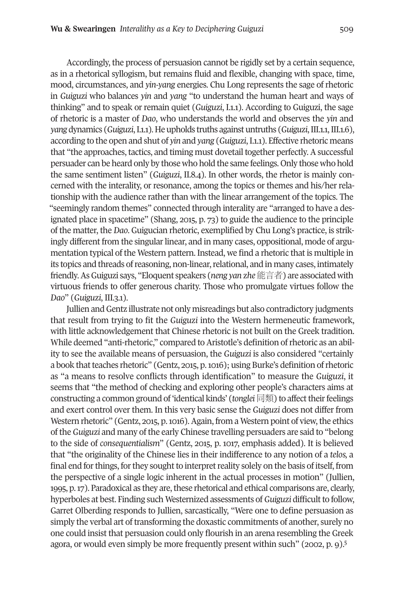Accordingly, the process of persuasion cannot be rigidly set by a certain sequence, as in a rhetorical syllogism, but remains fluid and flexible, changing with space, time, mood, circumstances, and *yin-yang* energies. Chu long represents the sage of rhetoric in *Guiguzi* who balances *yin* and *yang* "to understand the human heart and ways of thinking" and to speak or remain quiet (*Guiguzi*, I.1.1). According to Guiguzi, the sage of rhetoric is a master of *Dao*, who understands the world and observes the *yin* and *yang* dynamics (*Guiguzi*,I.1.1).Heupholds truths againstuntruths (*Guiguzi*,III.1.1,III.1.6), according to the open and shut of *yin* and *yang* (*Guiguzi*,I.1.1). effective rhetoric means that "the approaches, tactics, and timing must dovetail together perfectly. A successful persuader can be heard only by those who hold the same feelings. only those who hold the same sentiment listen" (*Guiguzi*, II.8.4). In other words, the rhetor is mainly concerned with the interality, or resonance, among the topics or themes and his/her relationship with the audience rather than with the linear arrangement of the topics. the "seemingly random themes" connected through interality are "arranged to have a designated place in spacetime" (Shang, 2015, p. 73) to guide the audience to the principle of the matter, the *Dao*. Guigucian rhetoric, exemplified by Chu long's practice, is strikingly different from the singular linear, and in many cases, oppositional, mode of argumentation typical of the Western pattern. Instead, we find a rhetoric that is multiple in its topics and threads of reasoning, non-linear, relational, and in many cases, intimately friendly.AsGuiguzi says, "eloquent speakers (*neng yan zhe*能言者) are associated with virtuous friends to offer generous charity. those who promulgate virtues follow the *Dao*" (*Guiguzi*, III.3.1).

Jullien andGentz illustrate not only misreadings but also contradictory judgments that result from trying to fit the *Guiguzi* into the Western hermeneutic framework, with little acknowledgement that Chinese rhetoric is not built on the Greek tradition. While deemed "anti-rhetoric," compared to Aristotle's definition of rhetoric as an ability to see the available means of persuasion, the *Guiguzi* is also considered "certainly a book that teaches rhetoric" (Gentz, 2015, p. 1016); using Burke's definition of rhetoric as "a means to resolve conflicts through identification" to measure the *Guiguzi*, it seems that "the method of checking and exploring other people's characters aims at constructing a common ground of 'identical kinds' (*tonglei* 同類) to affect their feelings and exert control over them. In this very basic sense the *Guiguzi* does not differ from Western rhetoric" (Gentz, 2015, p. 1016). Again, from a Western point of view, the ethics of the *Guiguzi* and many of the early Chinese travelling persuaders are said to "belong to the side of *consequentialism*" (Gentz, 2015, p. 1017, emphasis added). It is believed that "the originality of the Chinese lies in their indifference to any notion of a *telos,* a final end for things, for they sought to interpret reality solely on the basis of itself, from the perspective of a single logic inherent in the actual processes in motion" (Jullien, 1995, p. 17). Paradoxical as they are, these rhetorical and ethical comparisons are, clearly, hyperboles at best. Finding such Westernized assessments of *Guiguzi* difficult to follow, Garret olberding responds to Jullien, sarcastically, "Were one to define persuasion as simply the verbal art of transforming the doxastic commitments of another, surely no one could insist that persuasion could only flourish in an arena resembling the Gr[ee](#page-14-4)k agora, or would even simply be more frequently present within such" (2002, p. 9).<sup>5</sup>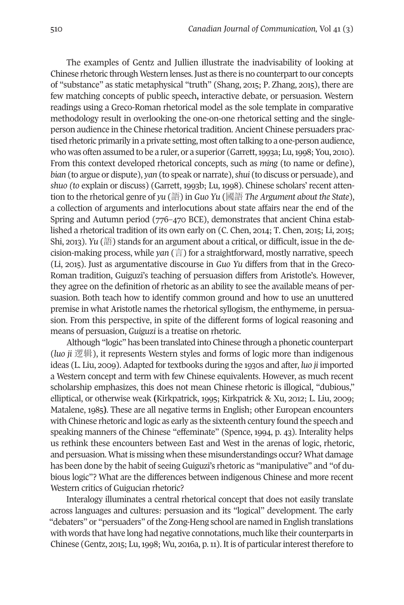the examples of Gentz and Jullien illustrate the inadvisability of looking at Chinese rhetoric through Western lenses. Just as there is no counterpart to our concepts of "substance" as static metaphysical "truth" (Shang, 2015; P. Zhang, 2015), there are few matching concepts of public speech**,** interactive debate, or persuasion. Western readings using a Greco-Roman rhetorical model as the sole template in comparative methodology result in overlooking the one-on-one rhetorical setting and the singleperson audience in the Chinese rhetorical tradition. Ancient Chinese persuaders practised rhetoric primarily in a private setting, most often talking to a one-person audience, who was often assumed to be a ruler, or a superior (Garrett, 1993a; Lu, 1998; You, 2010). From this context developed rhetorical concepts, such as *ming* (to name or define), *bian* (to argue or dispute), *yan* (to speak or narrate),*shui* (to discuss or persuade), and *shuo (to* explain or discuss) (Garrett, 1993b; lu, 1998). Chinese scholars' recent attention to the rhetorical genre of *yu* (語) in *Guo Yu* (國語 *The Argument about the State*), a collection of arguments and interlocutions about state affairs near the end of the Spring and Autumn period (776–470 bCe), demonstrates that ancient China established a rhetorical tradition of its own early on (C. Chen, 2014; T. Chen, 2015; Li, 2015; Shi, 2013). *Yu* (語) stands for an argument about a critical, or difficult, issue in the decision-making process, while *yan* (言) for a straightforward, mostly narrative, speech (li, 2015). Just as argumentative discourse in *Guo Yu* differs from that in the Greco-Roman tradition, Guiguzi's teaching of persuasion differs from Aristotle's. However, they agree on the definition of rhetoric as an ability to see the available means of persuasion. both teach how to identify common ground and how to use an unuttered premise in what Aristotle names the rhetorical syllogism, the enthymeme, in persuasion. From this perspective, in spite of the different forms of logical reasoning and means of persuasion, *Guiguzi* is a treatise on rhetoric.

Although "logic" has been translated into Chinese through a phonetic counterpart (*luo ji* 逻辑), it represents Western styles and forms of logic more than indigenous ideas (l. liu, 2009). Adapted for textbooks during the 1930s and after, *luo ji* imported a Western concept and term with few Chinese equivalents. However, as much recent scholarship emphasizes, this does not mean Chinese rhetoric is illogical, "dubious," elliptical, or otherwise weak **(**Kirkpatrick, 1995; Kirkpatrick & Xu, 2012; l. liu, 2009; Matalene, 1985). These are all negative terms in English; other European encounters with Chinese rhetoric and logic as early as the sixteenth century found the speech and speaking manners of the Chinese "effeminate" (Spence, 1994, p. 43). Interality helps us rethink these encounters between east and West in the arenas of logic, rhetoric, and persuasion. What is missing when these misunderstandings occur? What damage has been done by the habit of seeing Guiguzi's rhetoric as "manipulative" and "of dubious logic"? What are the differences between indigenous Chinese and more recent Western critics of Guigucian rhetoric?

Interalogy illuminates a central rhetorical concept that does not easily translate across languages and cultures: persuasion and its "logical" development. the early "debaters" or "persuaders" of the Zong-Heng school are named in English translations with words that have long had negative connotations, much like their counterparts in Chinese (Gentz, 2015; Lu, 1998; Wu, 2016a, p. 11). It is of particular interest therefore to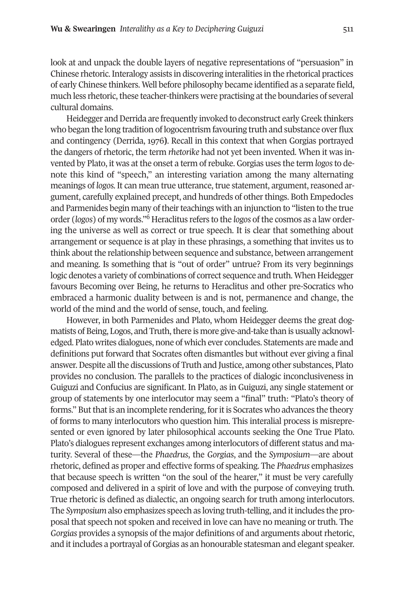look at and unpack the double layers of negative representations of "persuasion" in Chinese rhetoric.Interalogy assists in discovering interalities in the rhetorical practices of early Chinese thinkers. Well before philosophy became identified as a separate field, much less rhetoric, these teacher-thinkers were practising at the boundaries of several cultural domains.

Heidegger and Derrida are frequently invoked to deconstruct early Greek thinkers who began the long tradition of logocentrism favouring truth and substance over flux and contingency (Derrida, 1976). Recall in this context that when Gorgias portrayed the dangers of rhetoric, the term *rhetorike* had not yet been invented. When it was invented by Plato, it was at the onset a term ofrebuke. Gorgias uses the term *logos*to denote this kind of "speech," an interesting variation among the many alternating meanings of *logos*. It can mean true utterance, true statement, argument, reasoned argument, carefully explained precept, and hundreds of other things. Both Empedocles and Parmenides begin ma[ny](#page-14-5) of their teachings with an injunction to "listen to the true order (*logos*) of my words."<sup>6</sup> Heraclitus refers to the *logos* of the cosmos as a law ordering the universe as well as correct or true speech. It is clear that something about arrangement or sequence is at play in these phrasings, a something that invites us to think about the relationship between sequence and substance, between arrangement and meaning. Is something that is "out of order" untrue? From its very beginnings logic denotes a variety of combinations of correct sequence and truth. When Heidegger favours becoming over being, he returns to Heraclitus and other pre-Socratics who embraced a harmonic duality between is and is not, permanence and change, the world of the mind and the world of sense, touch, and feeling.

However, in both Parmenides and Plato, whom Heidegger deems the great dogmatists of Being, Logos, and Truth, there is more give-and-take than is usually acknowledged. Plato writes dialogues, none of which ever concludes. Statements are made and definitions put forward that Socrates often dismantles but without ever giving a final answer. Despite all the discussions of Truth and Justice, among other substances, Plato provides no conclusion. the parallels to the practices of dialogic inconclusiveness in Guiguzi and Confucius are significant. In Plato, as in Guiguzi, any single statement or group of statements by one interlocutor may seem a "final" truth: "Plato's theory of forms." But that is an incomplete rendering, for it is Socrates who advances the theory of forms to many interlocutors who question him. this interalial process is misrepresented or even ignored by later philosophical accounts seeking the One True Plato. Plato's dialogues represent exchanges among interlocutors of different status and maturity. Several of these—the *Phaedrus*, the *Gorgias*, and the *Symposium*—are about rhetoric, defined as proper and effective forms of speaking. the *Phaedrus* emphasizes that because speech is written "on the soul of the hearer," it must be very carefully composed and delivered in a spirit of love and with the purpose of conveying truth. true rhetoric is defined as dialectic, an ongoing search for truth among interlocutors. the *Symposium* also emphasizes speech as loving truth-telling, and itincludes the proposal that speech not spoken and received in love can have no meaning or truth. the *Gorgias* provides a synopsis of the major definitions of and arguments about rhetoric, and it includes a portrayal of Gorgias as an honourable statesman and elegant speaker.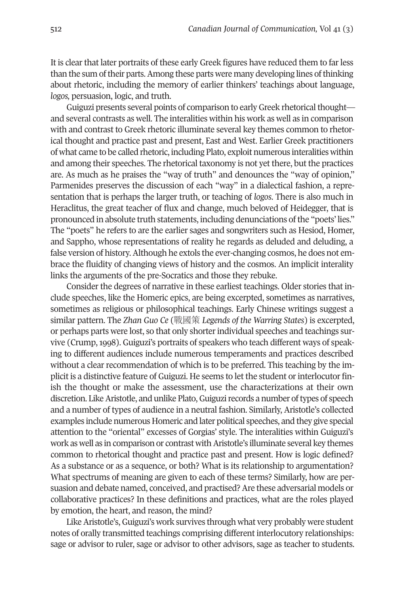It is clearthat later portraits of these early Greek figures have reduced them to farless than the sum oftheir parts.Among these parts were many developing lines ofthinking about rhetoric, including the memory of earlier thinkers' teachings about language, *logos,* persuasion, logic, and truth.

Guiguzi presents several points of comparison to early Greek rhetorical thought and several contrasts as well. the interalities within his work as well as in comparison with and contrast to Greek rhetoric illuminate several key themes common to rhetorical thought and practice past and present, East and West. Earlier Greek practitioners of what came to be called rhetoric, including Plato, exploit numerous interalities within and among their speeches. the rhetorical taxonomy is not yet there, but the practices are. As much as he praises the "way of truth" and denounces the "way of opinion," Parmenides preserves the discussion of each "way" in a dialectical fashion, a representation that is perhaps the larger truth, or teaching of *logos*. there is also much in Heraclitus, the great teacher of flux and change, much beloved of Heidegger, that is pronounced in absolute truth statements, including denunciations ofthe "poets' lies." the "poets" he refers to are the earlier sages and songwriters such as Hesiod, Homer, and Sappho, whose representations of reality he regards as deluded and deluding, a false version of history. Although he extols the ever-changing cosmos, he does not embrace the fluidity of changing views of history and the cosmos. An implicit interality links the arguments of the pre-Socratics and those they rebuke.

Consider the degrees of narrative in these earliest teachings. older stories that include speeches, like the Homeric epics, are being excerpted, sometimes as narratives, sometimes as religious or philosophical teachings. early Chinese writings suggest a similar pattern. the *Zhan Guo Ce* (戰國策 *Legends of the Warring States*) is excerpted, or perhaps parts were lost, so that only shorterindividual speeches and teachings survive (Crump,1998). Guiguzi's portraits of speakers who teach different ways of speaking to different audiences include numerous temperaments and practices described without a clear recommendation of which is to be preferred. this teaching by the implicit is a distinctive feature of Guiguzi. He seems to let the student orinterlocutor finish the thought or make the assessment, use the characterizations at their own discretion. Like Aristotle, and unlike Plato, Guiguzi records a number of types of speech and a number of types of audience in a neutral fashion. Similarly, Aristotle's collected examples include numerous Homeric and later political speeches, and they give special attention to the "oriental" excesses of Gorgias' style. the interalities within Guiguzi's work as well as in comparison or contrast with Aristotle's illuminate several key themes common to rhetorical thought and practice past and present. How is logic defined? As a substance or as a sequence, or both? What is its relationship to argumentation? What spectrums of meaning are given to each of these terms? Similarly, how are persuasion and debate named, conceived, and practised?Are these adversarial models or collaborative practices? In these definitions and practices, what are the roles played by emotion, the heart, and reason, the mind?

Like Aristotle's, Guiguzi's work survives through what very probably were student notes of orally transmitted teachings comprising different interlocutory relationships: sage or advisor to ruler, sage or advisor to other advisors, sage as teacher to students.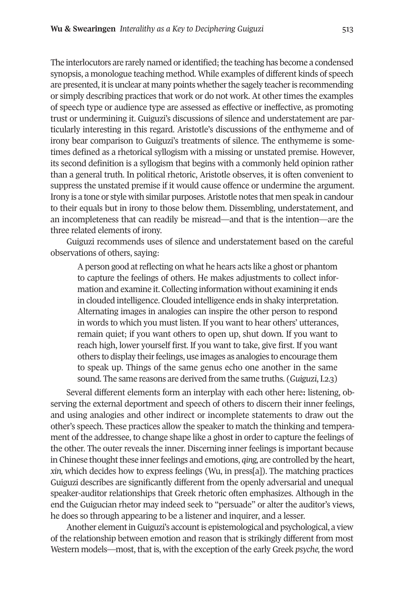The interlocutors are rarely named or identified; the teaching has become a condensed synopsis, a monologue teaching method. While examples of different kinds of speech are presented, it is unclear at many points whether the sagely teacher is recommending or simply describing practices that work or do not work. At other times the examples of speech type or audience type are assessed as effective or ineffective, as promoting trust or undermining it. Guiguzi's discussions of silence and understatement are particularly interesting in this regard. Aristotle's discussions of the enthymeme and of irony bear comparison to Guiguzi's treatments of silence. the enthymeme is sometimes defined as a rhetorical syllogism with a missing or unstated premise. However, its second definition is a syllogism that begins with a commonly held opinion rather than a general truth. In political rhetoric, Aristotle observes, it is often convenient to suppress the unstated premise if it would cause offence or undermine the argument. Irony is a tone or style with similar purposes.Aristotle notes that men speak in candour to their equals but in irony to those below them. Dissembling, understatement, and an incompleteness that can readily be misread—and that is the intention—are the three related elements of irony.

Guiguzi recommends uses of silence and understatement based on the careful observations of others, saying:

A person good at reflecting on what he hears acts like a ghost or phantom to capture the feelings of others. He makes adjustments to collect information and examine it. Collecting information without examining it ends in clouded intelligence. Clouded intelligence ends in shaky interpretation. Alternating images in analogies can inspire the other person to respond in words to which you must listen. If you want to hear others' utterances, remain quiet; if you want others to open up, shut down. If you want to reach high, lower yourself first. If you want to take, give first. If you want others to display their feelings, use images as analogies to encourage them to speak up. Things of the same genus echo one another in the same sound. The same reasons are derived from the same truths. (*Guiguzi*, I.2.3)

Several different elements form an interplay with each other here**:** listening, observing the external deportment and speech of others to discern their inner feelings, and using analogies and other indirect or incomplete statements to draw out the other's speech. these practices allow the speaker to match the thinking and temperament of the addressee, to change shape like a ghost in order to capture the feelings of the other. The outer reveals the inner. Discerning inner feelings is important because in Chinese thought these inner feelings and emotions, *qing*, are controlled by the heart, *xin,* which decides how to express feelings (Wu, in press[a]). the matching practices Guiguzi describes are significantly different from the openly adversarial and unequal speaker-auditor relationships that Greek rhetoric often emphasizes. Although in the end the Guigucian rhetor may indeed seek to "persuade" or alter the auditor's views, he does so through appearing to be a listener and inquirer, and a lesser.

Another element in Guiguzi's account is epistemological and psychological, a view of the relationship between emotion and reason that is strikingly different from most Western models—most, that is, with the exception of the early Greek *psyche,* the word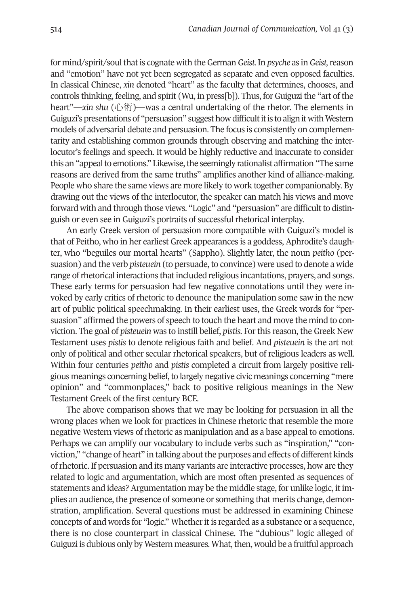for mind/spirit/soulthatis cognate with the German *Geist.*In *psyche* as in *Geist,*reason and "emotion" have not yet been segregated as separate and even opposed faculties. In classical Chinese, *xin* denoted "heart" as the faculty that determines, chooses, and controls thinking, feeling, and spirit (Wu, in press[b]). thus, for Guiguzi the "art of the heart"—*xin shu* (心術)—was a central undertaking of the rhetor. the elements in Guiguzi's presentations of "persuasion" suggest how difficult it is to align it with Western models of adversarial debate and persuasion. the focus is consistently on complementarity and establishing common grounds through observing and matching the interlocutor's feelings and speech. It would be highly reductive and inaccurate to consider this an "appeal to emotions." Likewise, the seemingly rationalist affirmation "The same reasons are derived from the same truths" amplifies another kind of alliance-making. People who share the same views are more likely to work together companionably. by drawing out the views of the interlocutor, the speaker can match his views and move forward with and through those views. "Logic" and "persuasion" are difficult to distinguish or even see in Guiguzi's portraits of successful rhetorical interplay.

An early Greek version of persuasion more compatible with Guiguzi's model is that of Peitho, who in her earliest Greek appearances is a goddess, Aphrodite's daughter, who "beguiles our mortal hearts" (Sappho). Slightly later, the noun *peitho* (persuasion) and the verb *pisteuein* (to persuade, to convince) were used to denote a wide range of rhetorical interactions that included religious incantations, prayers, and songs. These early terms for persuasion had few negative connotations until they were invoked by early critics of rhetoric to denounce the manipulation some saw in the new art of public political speechmaking. In their earliest uses, the Greek words for "persuasion" affirmed the powers of speech to touch the heart and move the mind to conviction. the goal of *pisteuein* was to instill belief, *pistis.* For this reason, the Greek New testament uses *pistis* to denote religious faith and belief. And *pisteuein* is the art not only of political and other secular rhetorical speakers, but of religious leaders as well. Within four centuries *peitho* and *pistis* completed a circuit from largely positive religious meanings concerning belief, to largely negative civic meanings concerning "mere opinion" and "commonplaces," back to positive religious meanings in the New Testament Greek of the first century BCE.

The above comparison shows that we may be looking for persuasion in all the wrong places when we look for practices in Chinese rhetoric that resemble the more negative Western views of rhetoric as manipulation and as a base appeal to emotions. Perhaps we can amplify our vocabulary to include verbs such as "inspiration," "conviction," "change of heart" in talking aboutthe purposes and effects of different kinds ofrhetoric. If persuasion and its many variants are interactive processes, how are they related to logic and argumentation, which are most often presented as sequences of statements and ideas? Argumentation may be the middle stage, for unlike logic, it implies an audience, the presence of someone or something that merits change, demonstration, amplification. Several questions must be addressed in examining Chinese concepts of and words for "logic." Whetheritis regarded as a substance or a sequence, there is no close counterpart in classical Chinese. the "dubious" logic alleged of Guiguzi is dubious only by Western measures. What, then, would be a fruitful approach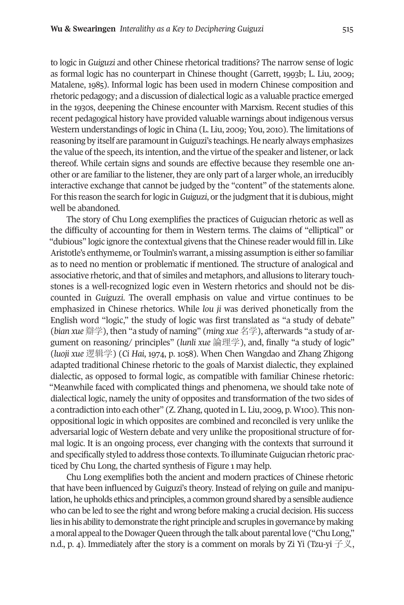to logic in *Guiguzi* and other Chinese rhetorical traditions? the narrow sense of logic as formal logic has no counterpart in Chinese thought (Garrett, 1993b; l. liu, 2009; Matalene, 1985). Informal logic has been used in modern Chinese composition and rhetoric pedagogy; and a discussion of dialectical logic as a valuable practice emerged in the 1930s, deepening the Chinese encounter with Marxism. Recent studies of this recent pedagogical history have provided valuable warnings about indigenous versus Western understandings of logic in China (L. Liu, 2009; You, 2010). The limitations of reasoning by itself are paramount in Guiguzi's teachings. He nearly always emphasizes the value of the speech, its intention, and the virtue of the speaker and listener, or lack thereof. While certain signs and sounds are effective because they resemble one another or are familiarto the listener, they are only part of a larger whole, an irreducibly interactive exchange that cannot be judged by the "content" of the statements alone. Forthis reason the search forlogic in*Guiguzi*, orthe judgmentthatitis dubious, might well be abandoned.

The story of Chu Long exemplifies the practices of Guigucian rhetoric as well as the difficulty of accounting for them in Western terms. the claims of "elliptical" or "dubious" logic ignore the contextual givens that the Chinese reader would fill in. Like Aristotle's enthymeme, or toulmin's warrant, a missing assumption is either so familiar as to need no mention or problematic if mentioned. the structure of analogical and associative rhetoric, and that of similes and metaphors, and allusions to literary touchstones is a well-recognized logic even in Western rhetorics and should not be discounted in *Guiguzi*. the overall emphasis on value and virtue continues to be emphasized in Chinese rhetorics. While *lou ji* was derived phonetically from the English word "logic," the study of logic was first translated as "a study of debate" (*bian xue* 辯学), then "a study of naming" (*ming xue* 名学), afterwards "a study of argument on reasoning/ principles" (*lunli xue* 論理学), and, finally "a study of logic" (*luoji xue* 逻辑学) (*Ci Hai*, 1974, p. 1058). When Chen Wangdao and Zhang Zhigong adapted traditional Chinese rhetoric to the goals of Marxist dialectic, they explained dialectic, as opposed to formal logic, as compatible with familiar Chinese rhetoric: "Meanwhile faced with complicated things and phenomena, we should take note of dialectical logic, namely the unity of opposites and transformation of the two sides of a contradiction into each other" (Z. Zhang, quoted in l. liu, 2009, p. W100). this nonoppositional logic in which opposites are combined and reconciled is very unlike the adversarial logic of Western debate and very unlike the propositional structure of formal logic. It is an ongoing process, ever changing with the contexts that surround it and specifically styled to address those contexts. To illuminate Guigucian rhetoric practiced by Chu long, the charted synthesis of Figure 1 may help.

Chu long exemplifies both the ancient and modern practices of Chinese rhetoric that have been influenced by Guiguzi's theory. Instead of relying on guile and manipulation, he upholds ethics and principles, a common ground shared by a sensible audience who can be led to see the right and wrong before making a crucial decision. His success lies in his ability to demonstrate the right principle and scruples in governance by making a moral appeal to the Dowager Queen through the talk about parental love ("Chu Long," n.d., p. 4). Immediately after the story is a comment on morals by Zi Yi (Tzu-yi  $\neq \chi$ ,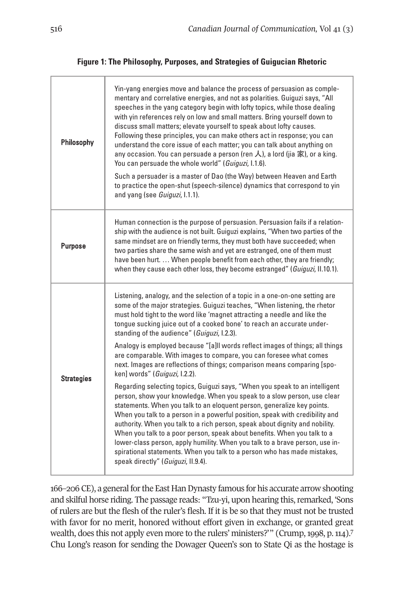## **Figure 1: The Philosophy, Purposes, and Strategies of Guigucian Rhetoric**

| Philosophy        | Yin-yang energies move and balance the process of persuasion as comple-<br>mentary and correlative energies, and not as polarities. Guiguzi says, "All<br>speeches in the yang category begin with lofty topics, while those dealing<br>with yin references rely on low and small matters. Bring yourself down to<br>discuss small matters; elevate yourself to speak about lofty causes.<br>Following these principles, you can make others act in response; you can<br>understand the core issue of each matter; you can talk about anything on<br>any occasion. You can persuade a person (ren $\lambda$ ), a lord (jia 家), or a king.<br>You can persuade the whole world" (Guiguzi, I.1.6).<br>Such a persuader is a master of Dao (the Way) between Heaven and Earth<br>to practice the open-shut (speech-silence) dynamics that correspond to yin<br>and yang (see Guiguzi, I.1.1).                                                                                                                                                                                                                                                                                                                                                                                                                              |
|-------------------|-------------------------------------------------------------------------------------------------------------------------------------------------------------------------------------------------------------------------------------------------------------------------------------------------------------------------------------------------------------------------------------------------------------------------------------------------------------------------------------------------------------------------------------------------------------------------------------------------------------------------------------------------------------------------------------------------------------------------------------------------------------------------------------------------------------------------------------------------------------------------------------------------------------------------------------------------------------------------------------------------------------------------------------------------------------------------------------------------------------------------------------------------------------------------------------------------------------------------------------------------------------------------------------------------------------------------|
| Purpose           | Human connection is the purpose of persuasion. Persuasion fails if a relation-<br>ship with the audience is not built. Guiguzi explains, "When two parties of the<br>same mindset are on friendly terms, they must both have succeeded; when<br>two parties share the same wish and yet are estranged, one of them must<br>have been hurt.  When people benefit from each other, they are friendly;<br>when they cause each other loss, they become estranged" (Guiguzi, II.10.1).                                                                                                                                                                                                                                                                                                                                                                                                                                                                                                                                                                                                                                                                                                                                                                                                                                      |
| <b>Strategies</b> | Listening, analogy, and the selection of a topic in a one-on-one setting are<br>some of the major strategies. Guiguzi teaches, "When listening, the rhetor<br>must hold tight to the word like 'magnet attracting a needle and like the<br>tongue sucking juice out of a cooked bone' to reach an accurate under-<br>standing of the audience" (Guiguzi, I.2.3).<br>Analogy is employed because "[a]ll words reflect images of things; all things<br>are comparable. With images to compare, you can foresee what comes<br>next. Images are reflections of things; comparison means comparing [spo-<br>ken] words" (Guiguzi, I.2.2).<br>Regarding selecting topics, Guiguzi says, "When you speak to an intelligent<br>person, show your knowledge. When you speak to a slow person, use clear<br>statements. When you talk to an eloquent person, generalize key points.<br>When you talk to a person in a powerful position, speak with credibility and<br>authority. When you talk to a rich person, speak about dignity and nobility.<br>When you talk to a poor person, speak about benefits. When you talk to a<br>lower-class person, apply humility. When you talk to a brave person, use in-<br>spirational statements. When you talk to a person who has made mistakes,<br>speak directly" (Guiguzi, II.9.4). |

166–206 CE), a general for the East Han Dynasty famous for his accurate arrow shooting and skilful horse riding. The passage reads: "Tzu-yi, upon hearing this, remarked, 'Sons of rulers are but the flesh of the ruler's flesh. If it is be so that they must not be trusted with favor for no merit, honored without effort given in exchange, or granted gre[at](#page-14-6) wealth, does this not apply even more to the rulers' ministers?'" (Crump, 1998, p. 114).<sup>7</sup> Chu Long's reason for sending the Dowager Queen's son to State Qi as the hostage is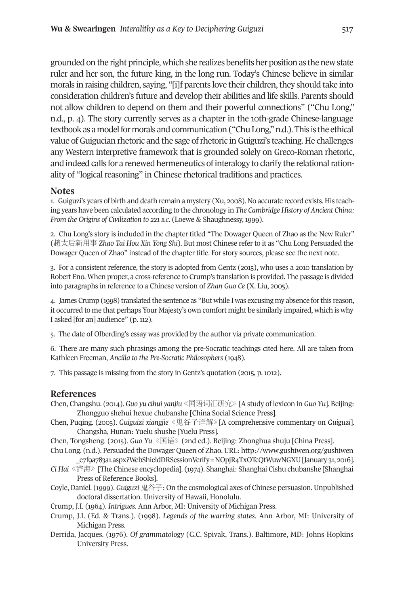grounded on the right principle, which she realizes benefits her position as the new state ruler and her son, the future king, in the long run. today's Chinese believe in similar morals in raising children, saying, "[i]f parents love their children, they should take into consideration children's future and develop their abilities and life skills. Parents should not allow children to depend on them and their powerful connections" ("Chu long," n.d., p. 4). the story currently serves as a chapter in the 10th-grade Chinese-language textbook as a model for morals and communication ("Chu Long," n.d.). This is the ethical value ofGuigucian rhetoric and the sage ofrhetoric inGuiguzi's teaching. He challenges any Western interpretive framework that is grounded solely on Greco-Roman rhetoric, and indeed calls for a renewed hermeneutics of interalogy to clarify the relational rationality of "logical reasoning" in Chinese rhetorical traditions and practices.

## <span id="page-14-2"></span><span id="page-14-1"></span>**Notes**

1. Guiguzi's years of birth and death remain a mystery (Xu, 2008). No accurate record exists. His teaching years have been calculated according to the chronology in *The Cambridge History of Ancient China: From the Origins of Civilization to 221 b.C.* (loewe & Shaughnessy, 1999).

2. Chu Long's story is included in the chapter titled "The Dowager Queen of Zhao as the New Ruler" (趙太后新用事 *Zhao Tai Hou Xin Yong Shi*). but most Chinese refer to it as "Chu long Persuaded the Dowager Queen of Zhao" instead of the chapter title. For story sources, please see the next note.

<span id="page-14-0"></span>3. For a consistent reference, the story is adopted from Gentz (2015), who uses a 2010 translation by Robert Eno. When proper, a cross-reference to Crump's translation is provided. The passage is divided into paragraphs in reference to a Chinese version of *Zhan Guo Ce* (X. liu, 2005).

<span id="page-14-3"></span>4. James Crump (1998) translated the sentence as "but while I was excusing my absence forthis reason, it occurred to me that perhaps your Majesty's own comfort might be similarly impaired, which is why I asked [for an] audience" (p. 112).

<span id="page-14-5"></span><span id="page-14-4"></span>5. the date of olberding's essay was provided by the author via private communication.

6. there are many such phrasings among the pre-Socratic teachings cited here. All are taken from Kathleen Freeman, *Ancilla to the Pre-Socratic Philosophers* (1948).

<span id="page-14-6"></span>7. this passage is missing from the story in Gentz's quotation (2015, p. 1012).

## **References**

- Chen, Changshu. (2014). *Guo yu cihui yanjiu*《国语词汇研究》[A study of lexicon in *Guo Yu*]. beijing: Zhongguo shehui hexue chubanshe [China Social Science Press].
- Chen, Puqing. (2005). *Guiguizi xiangjie*《鬼谷子详解》[A comprehensive commentary on *Guiguzi*]. Changsha, Hunan: yuelu shushe [yuelu Press].
- Chen, tongsheng. (2015). *Guo Yu*《国语》(2nd ed.). beijing: Zhonghua shuju [China Press].

Chu long. (n.d.). Persuaded the dowager Queen of Zhao. Url: [http://www.gushiwen.org/gushiwen](http://www.gushiwen.org/gushiwen_e7f9a783a1.aspx) [\\_e7f9a783a1.aspx?WebShielddrSessionVerify=Nopjr4txotcQtWuwNGXU](http://www.gushiwen.org/gushiwen_e7f9a783a1.aspx)[January 31, 2016].

- *Ci Hai*《辞海》[the Chinese encyclopedia]. (1974). Shanghai: Shanghai Cishu chubanshe [Shanghai Press of Reference Books].
- Coyle, daniel. (1999). *Guiguzi* 鬼谷子: on the cosmological axes of Chinese persuasion. Unpublished doctoral dissertation. University of Hawaii, Honolulu.

Crump, J.I. (1964). *Intrigues*. Ann Arbor, MI: University of Michigan Press.

- Crump, J.I. (ed. & trans.). (1998). *Legends of the warring states*. Ann Arbor, MI: University of Michigan Press.
- derrida, Jacques. (1976). *Of grammatology* (G.C. Spivak, trans.). baltimore, Md: Johns Hopkins University Press.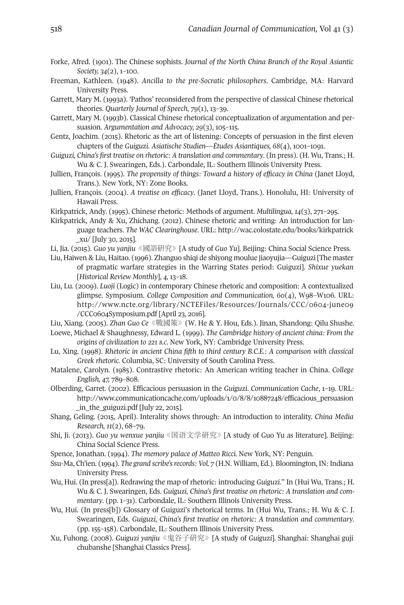- Forke, Afred. (1901). the Chinese sophists. *Journal of the North China branch of the Royal Asiantic Society, 34*(2), 1–100.
- Freeman, Kathleen. (1948). *Ancilla to the pre-Socratic philosophers*. Cambridge, MA: Harvard University Press.
- Garrett, Mary M. (1993a). 'Pathos' reconsidered from the perspective of classical Chinese rhetorical theories. *Quarterly Journal of Speech, 79*(1), 13–39.
- Garrett, Mary M. (1993b). Classical Chinese rhetorical conceptualization of argumentation and persuasion. *Argumentation and Advocacy, 29*(3), 105–115.
- Gentz, Joachim. (2015). Rhetoric as the art of listening: Concepts of persuasion in the first eleven chapters of the *Guiguzi*. *Asiatische Studien—Études Asiantiques, 68*(4), 1001–1091.
- *Guiguzi, China's first treatise on rhetoric: A translation and commentary*. (In press). (H. Wu, trans.; H. Wu & C. J. Swearingen, Eds.). Carbondale, IL: Southern Illinois University Press.
- Jullien, François. (1995). *The propensity of things: Toward a history of efficacy in China* (Janet lloyd, Trans.). New York, NY: Zone Books.
- Jullien, François. (2004). *A treatise on efficacy*. (Janet lloyd, trans.). Honolulu, HI: University of Hawaii Press.
- Kirkpatrick, Andy. (1995). Chinese rhetoric: Methods of argument. *Multilingua, 14*(3), 271–295.
- Kirkpatrick, Andy & Xu, Zhichang. (2012). Chinese rhetoric and writing: An introduction for language teachers. *The WAC Clearinghouse*. Url: [http://wac.colostate.edu/books/kirkpatrick](http://wac.colostate.edu/books/kirkpatrick_xu/) [\\_xu/](http://wac.colostate.edu/books/kirkpatrick_xu/) [July 30, 2015].
- li, Jia. (2015). *Guo yu yanjiu*《國語硏究》[A study of *Guo Yu*]. beijing: China Social Science Press.
- liu, Haiwen & liu, Haitao. (1996). Zhanguo shiqi de shiyong moulue jiaoyujia—Guiguzi [the master of pragmatic warfare strategies in the Warring States period: Guiguzi]. *Shixue yuekan* [*Historical Review Monthly*], *4,* 13–18.
- liu, lu. (2009). *Luoji* (logic) in contemporary Chinese rhetoric and composition: A contextualized glimpse. Symposium. *College Composition and Communication, 60*(4), W98–W106. Url: http://www.ncte.org/library/NCTEFiles/Resources/Journals/CCC/0604-june09 [/CCC0604Symposium.pdf](http://www.ncte.org/library/NCTEFiles/Resources/Journals/CCC/0604-june09/CCC0604Symposium.pdf) [April 23, 2016].

liu, Xiang. (2005). *Zhan Guo Ce*《戰國策》(W. He & y. Hou, eds.). Jinan, Shandong: Qilu Shushe. loewe, Michael & Shaughnessy, edward l. (1999). *The Cambridge history of ancient china: From the origins of civilization to 221 b.C.* New york, Ny: Cambridge University Press.

- lu, Xing. (1998). *Rhetoric in ancient China fifth to third century b.C.E.: A comparison with classical Greek rhetoric*. Columbia, SC: University of South Carolina Press.
- Matalene, Carolyn. (1985). Contrastive rhetoric: An American writing teacher in China. *College English, 47,* 789–808.
- olberding, Garret. (2002). efficacious persuasion in the *Guiguzi*. *Communication Cache*, 1–19. Url: [http://www.communicationcache.com/uploads/1/0/8/8/10887248/efficacious\\_persuasion](http://www.communicationcache.com/uploads/1/0/8/8/10887248/efficacious_persuasion_in_the_guiguzi.pdf) [\\_in\\_the\\_guiguzi.pdf](http://www.communicationcache.com/uploads/1/0/8/8/10887248/efficacious_persuasion_in_the_guiguzi.pdf) [July 22, 2015].
- Shang, Geling. (2015, April). Interality shows through: An introduction to interality. *China Media Research, 11*(2), 68–79.
- Shi, Ji. (2013). *Guo yu wenxue yanjiu*《国语文学研究》[A study of Guo yu as literature]. beijing: China Social Science Press.
- Spence, Jonathan. (1994). *The memory palace of Matteo Ricci.* New york, Ny: Penguin.
- Ssu-Ma, Ch'ien. (1994). *The grand scribe'srecords: Vol. 7* (H.N. William, ed.). bloomington, IN: Indiana University Press.
- Wu, Hui. (In press[a]). Redrawing the map of rhetoric: introducing *Guiguzi*." In (Hui Wu, Trans.; H. Wu & C. J. Swearingen, eds. *Guiguzi, China's first treatise on rhetoric: A translation and commentary*. (pp. 1–31). Carbondale, Il: Southern Illinois University Press.
- Wu, Hui. (In press[b]) Glossary of Guiguzi's rhetorical terms. In (Hui Wu, Trans.; H. Wu & C. J. Swearingen, eds. *Guiguzi, China's first treatise on rhetoric: A translation and commentary*. (pp. 155–158). Carbondale, Il: Southern Illinois University Press.
- Xu, Fuhong. (2008). *Guiguzi yanjiu*《鬼谷子研究》[A study of *Guiguzi*]. Shanghai: Shanghai guji chubanshe [Shanghai Classics Press].